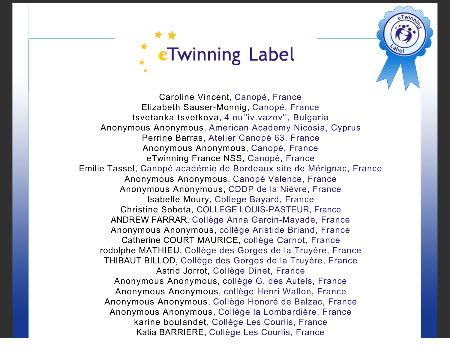

Caroline Vincent, Canopé, France Elizabeth Sauser-Monnig, Canopé, France tsvetanka tsvetkova, 4 ou''iv.vazov'', Bulgaria Anonymous Anonymous, American Academy Nicosia, Cyprus Perrine Barras, Atelier Canopé 63, France Anonymous Anonymous, Canopé, France eTwinning France NSS, Canopé, France Emilie Tassel, Canopé académie de Bordeaux site de Mérignac, France Anonymous Anonymous, Canopé Valence, France Anonymous Anonymous, CDDP de la Nièvre, France Isabelle Moury, College Bayard, France Christine Sobota, COLLEGE LOUIS-PASTEUR, France ANDREW FARRAR, Collège Anna Garcin-Mayade, France Anonymous Anonymous, collège Aristide Briand, France Catherine COURT MAURICE, collège Carnot, France rodolphe MATHIEU, Collège des Gorges de la Truyère, France THIBAUT BILLOD, Collège des Gorges de la Truyère, France Astrid Jorrot, Collège Dinet, France Anonymous Anonymous, collège G. des Autels, France Anonymous Anonymous, collège Henri Wallon, France Anonymous Anonymous, Collège Honoré de Balzac, France Anonymous Anonymous, Collège la Lombardière, France karine boulandet, Collège Les Courlis, France Katia BARRIERE, Collège Les Courlis, France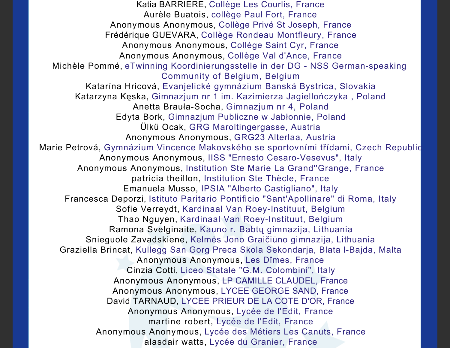Katia BARRIERE, Collège Les Courlis, France Aurèle Buatois, collège Paul Fort, France Anonymous Anonymous, Collège Privé St Joseph, France Frédérique GUEVARA, Collège Rondeau Montfleury, France Anonymous Anonymous, Collège Saint Cyr, France Anonymous Anonymous, Collège Val d'Ance, France Michèle Pommé, eTwinning Koordinierungsstelle in der DG - NSS German-speaking Community of Belgium, Belgium Katarína Hricová, Evanjelické gymnázium Banská Bystrica, Slovakia Katarzyna Kęska, Gimnazjum nr 1 im. Kazimierza Jagiellończyka , Poland Anetta Brauła-Socha, Gimnazjum nr 4, Poland Edyta Bork, Gimnazjum Publiczne w Jabłonnie, Poland Ülkü Ocak, GRG Maroltingergasse, Austria Anonymous Anonymous, GRG23 Alterlaa, Austria Marie Petrová, Gymnázium Vincence Makovského se sportovními třídami, Czech Republic Anonymous Anonymous, IISS "Ernesto Cesaro-Vesevus", Italy Anonymous Anonymous, Institution Ste Marie La Grand''Grange, France patricia theillon, Institution Ste Thècle, France Emanuela Musso, IPSIA "Alberto Castigliano", Italy Francesca Deporzi, Istituto Paritario Pontificio "Sant'Apollinare" di Roma, Italy Sofie Verreydt, Kardinaal Van Roey-Instituut, Belgium Thao Nguyen, Kardinaal Van Roey-Instituut, Belgium Ramona Svelginaite, Kauno r. Babtų gimnazija, Lithuania Snieguole Zavadskiene, Kelmės Jono Graičiūno gimnazija, Lithuania Graziella Brincat, Kullegg San Gorg Preca Skola Sekondarja, Blata l-Bajda, Malta Anonymous Anonymous, Les Dîmes, France Cinzia Cotti, Liceo Statale "G.M. Colombini", Italy Anonymous Anonymous, LP CAMILLE CLAUDEL, France Anonymous Anonymous, LYCEE GEORGE SAND, France David TARNAUD, LYCEE PRIEUR DE LA COTE D'OR, France Anonymous Anonymous, Lycée de l'Edit, France martine robert, Lycée de l'Edit, France Anonymous Anonymous, Lycée des Métiers Les Canuts, France alasdair watts, Lycée du Granier, France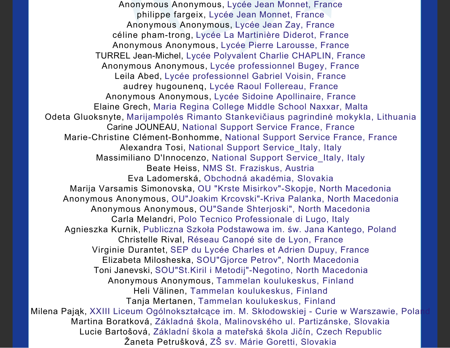Anonymous Anonymous, Lycée Jean Monnet, France philippe fargeix, Lycée Jean Monnet, France Anonymous Anonymous, Lycée Jean Zay, France céline pham-trong, Lycée La Martinière Diderot, France Anonymous Anonymous, Lycée Pierre Larousse, France TURREL Jean-Michel, Lycée Polyvalent Charlie CHAPLIN, France Anonymous Anonymous, Lycée professionnel Bugey, France Leila Abed, Lycée professionnel Gabriel Voisin, France audrey hugounenq, Lycée Raoul Follereau, France Anonymous Anonymous, Lycée Sidoine Apollinaire, France Elaine Grech, Maria Regina College Middle School Naxxar, Malta Odeta Gluoksnyte, Marijampolės Rimanto Stankevičiaus pagrindinė mokykla, Lithuania Carine JOUNEAU, National Support Service France, France Marie-Christine Clément-Bonhomme, National Support Service France, France Alexandra Tosi, National Support Service\_Italy, Italy Massimiliano D'Innocenzo, National Support Service\_Italy, Italy Beate Heiss, NMS St. Fraziskus, Austria Eva Ladomerská, Obchodná akadémia, Slovakia Marija Varsamis Simonovska, OU "Krste Misirkov"-Skopje, North Macedonia Anonymous Anonymous, OU"Joakim Krcovski"-Kriva Palanka, North Macedonia Anonymous Anonymous, OU"Sande Shterjoski", North Macedonia Carla Melandri, Polo Tecnico Professionale di Lugo, Italy Agnieszka Kurnik, Publiczna Szkoła Podstawowa im. św. Jana Kantego, Poland Christelle Rival, Réseau Canopé site de Lyon, France Virginie Durantet, SEP du Lycée Charles et Adrien Dupuy, France Elizabeta Milosheska, SOU"Gjorce Petrov", North Macedonia Toni Janevski, SOU"St.Kiril i Metodij"-Negotino, North Macedonia Anonymous Anonymous, Tammelan koulukeskus, Finland Heli Välinen, Tammelan koulukeskus, Finland Tanja Mertanen, Tammelan koulukeskus, Finland Milena Pająk, XXIII Liceum Ogólnokształcące im. M. Skłodowskiej - Curie w Warszawie, Polan Martina Boratková, Základná škola, Malinovského ul. Partizánske, Slovakia Lucie Bartošová, Základní škola a mateřská škola Jičín, Czech Republic Žaneta Petrušková, ZŠ sv. Márie Goretti, Slovakia